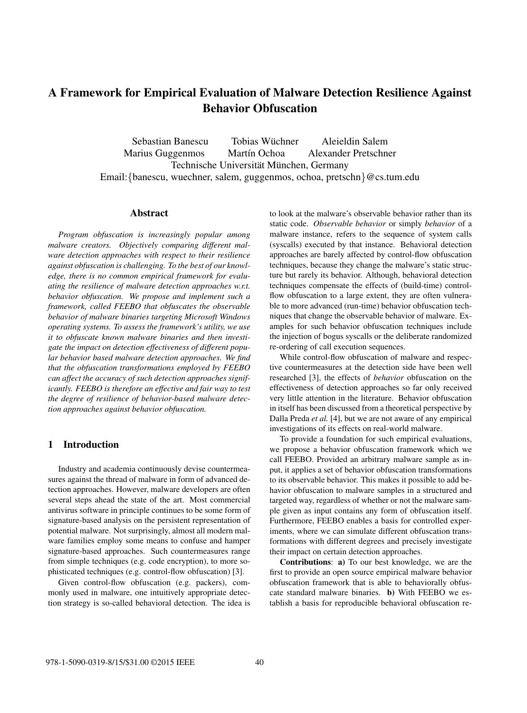# A Framework for Empirical Evaluation of Malware Detection Resilience Against Behavior Obfuscation

Sebastian Banescu Tobias Wüchner Aleieldin Salem Marius Guggenmos Martín Ochoa Alexander Pretschner Technische Universität München, Germany Email:{banescu, wuechner, salem, guggenmos, ochoa, pretschn}@cs.tum.edu

## Abstract

*Program obfuscation is increasingly popular among malware creators. Objectively comparing different malware detection approaches with respect to their resilience against obfuscation is challenging. To the best of our knowledge, there is no common empirical framework for evaluating the resilience of malware detection approaches w.r.t. behavior obfuscation. We propose and implement such a framework, called FEEBO that obfuscates the observable behavior of malware binaries targeting Microsoft Windows operating systems. To assess the framework's utility, we use it to obfuscate known malware binaries and then investigate the impact on detection effectiveness of different popular behavior based malware detection approaches. We find that the obfuscation transformations employed by FEEBO can affect the accuracy of such detection approaches significantly. FEEBO is therefore an effective and fair way to test the degree of resilience of behavior-based malware detection approaches against behavior obfuscation.*

# 1 Introduction

Industry and academia continuously devise countermeasures against the thread of malware in form of advanced detection approaches. However, malware developers are often several steps ahead the state of the art. Most commercial antivirus software in principle continues to be some form of signature-based analysis on the persistent representation of potential malware. Not surprisingly, almost all modern malware families employ some means to confuse and hamper signature-based approaches. Such countermeasures range from simple techniques (e.g. code encryption), to more sophisticated techniques (e.g. control-flow obfuscation) [3].

Given control-flow obfuscation (e.g. packers), commonly used in malware, one intuitively appropriate detection strategy is so-called behavioral detection. The idea is to look at the malware's observable behavior rather than its static code. *Observable behavior* or simply *behavior* of a malware instance, refers to the sequence of system calls (syscalls) executed by that instance. Behavioral detection approaches are barely affected by control-flow obfuscation techniques, because they change the malware's static structure but rarely its behavior. Although, behavioral detection techniques compensate the effects of (build-time) controlflow obfuscation to a large extent, they are often vulnerable to more advanced (run-time) behavior obfuscation techniques that change the observable behavior of malware. Examples for such behavior obfuscation techniques include the injection of bogus syscalls or the deliberate randomized re-ordering of call execution sequences.

While control-flow obfuscation of malware and respective countermeasures at the detection side have been well researched [3], the effects of *behavior* obfuscation on the effectiveness of detection approaches so far only received very little attention in the literature. Behavior obfuscation in itself has been discussed from a theoretical perspective by Dalla Preda *et al.* [4], but we are not aware of any empirical investigations of its effects on real-world malware.

To provide a foundation for such empirical evaluations, we propose a behavior obfuscation framework which we call FEEBO. Provided an arbitrary malware sample as input, it applies a set of behavior obfuscation transformations to its observable behavior. This makes it possible to add behavior obfuscation to malware samples in a structured and targeted way, regardless of whether or not the malware sample given as input contains any form of obfuscation itself. Furthermore, FEEBO enables a basis for controlled experiments, where we can simulate different obfuscation transformations with different degrees and precisely investigate their impact on certain detection approaches.

Contributions: a) To our best knowledge, we are the first to provide an open source empirical malware behavior obfuscation framework that is able to behaviorally obfuscate standard malware binaries. b) With FEEBO we establish a basis for reproducible behavioral obfuscation re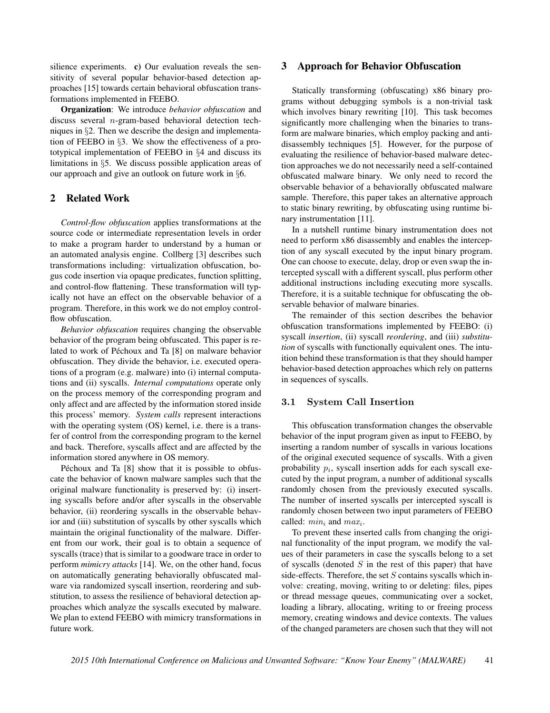silience experiments. c) Our evaluation reveals the sensitivity of several popular behavior-based detection approaches [15] towards certain behavioral obfuscation transformations implemented in FEEBO.

Organization: We introduce *behavior obfuscation* and discuss several n-gram-based behavioral detection techniques in §2. Then we describe the design and implementation of FEEBO in §3. We show the effectiveness of a prototypical implementation of FEEBO in §4 and discuss its limitations in §5. We discuss possible application areas of our approach and give an outlook on future work in §6.

# 2 Related Work

*Control-flow obfuscation* applies transformations at the source code or intermediate representation levels in order to make a program harder to understand by a human or an automated analysis engine. Collberg [3] describes such transformations including: virtualization obfuscation, bogus code insertion via opaque predicates, function splitting, and control-flow flattening. These transformation will typically not have an effect on the observable behavior of a program. Therefore, in this work we do not employ controlflow obfuscation.

*Behavior obfuscation* requires changing the observable behavior of the program being obfuscated. This paper is related to work of Péchoux and Ta [8] on malware behavior obfuscation. They divide the behavior, i.e. executed operations of a program (e.g. malware) into (i) internal computations and (ii) syscalls. *Internal computations* operate only on the process memory of the corresponding program and only affect and are affected by the information stored inside this process' memory. *System calls* represent interactions with the operating system (OS) kernel, i.e. there is a transfer of control from the corresponding program to the kernel and back. Therefore, syscalls affect and are affected by the information stored anywhere in OS memory.

Péchoux and Ta [8] show that it is possible to obfuscate the behavior of known malware samples such that the original malware functionality is preserved by: (i) inserting syscalls before and/or after syscalls in the observable behavior, (ii) reordering syscalls in the observable behavior and (iii) substitution of syscalls by other syscalls which maintain the original functionality of the malware. Different from our work, their goal is to obtain a sequence of syscalls (trace) that is similar to a goodware trace in order to perform *mimicry attacks* [14]. We, on the other hand, focus on automatically generating behaviorally obfuscated malware via randomized syscall insertion, reordering and substitution, to assess the resilience of behavioral detection approaches which analyze the syscalls executed by malware. We plan to extend FEEBO with mimicry transformations in future work.

## 3 Approach for Behavior Obfuscation

Statically transforming (obfuscating) x86 binary programs without debugging symbols is a non-trivial task which involves binary rewriting [10]. This task becomes significantly more challenging when the binaries to transform are malware binaries, which employ packing and antidisassembly techniques [5]. However, for the purpose of evaluating the resilience of behavior-based malware detection approaches we do not necessarily need a self-contained obfuscated malware binary. We only need to record the observable behavior of a behaviorally obfuscated malware sample. Therefore, this paper takes an alternative approach to static binary rewriting, by obfuscating using runtime binary instrumentation [11].

In a nutshell runtime binary instrumentation does not need to perform x86 disassembly and enables the interception of any syscall executed by the input binary program. One can choose to execute, delay, drop or even swap the intercepted syscall with a different syscall, plus perform other additional instructions including executing more syscalls. Therefore, it is a suitable technique for obfuscating the observable behavior of malware binaries.

The remainder of this section describes the behavior obfuscation transformations implemented by FEEBO: (i) syscall *insertion*, (ii) syscall *reordering*, and (iii) *substitution* of syscalls with functionally equivalent ones. The intuition behind these transformation is that they should hamper behavior-based detection approaches which rely on patterns in sequences of syscalls.

## 3.1 System Call Insertion

This obfuscation transformation changes the observable behavior of the input program given as input to FEEBO, by inserting a random number of syscalls in various locations of the original executed sequence of syscalls. With a given probability  $p_i$ , syscall insertion adds for each syscall executed by the input program, a number of additional syscalls randomly chosen from the previously executed syscalls. The number of inserted syscalls per intercepted syscall is randomly chosen between two input parameters of FEEBO called:  $min_i$  and  $max_i$ .

To prevent these inserted calls from changing the original functionality of the input program, we modify the values of their parameters in case the syscalls belong to a set of syscalls (denoted  $S$  in the rest of this paper) that have side-effects. Therefore, the set  $S$  contains syscalls which involve: creating, moving, writing to or deleting: files, pipes or thread message queues, communicating over a socket, loading a library, allocating, writing to or freeing process memory, creating windows and device contexts. The values of the changed parameters are chosen such that they will not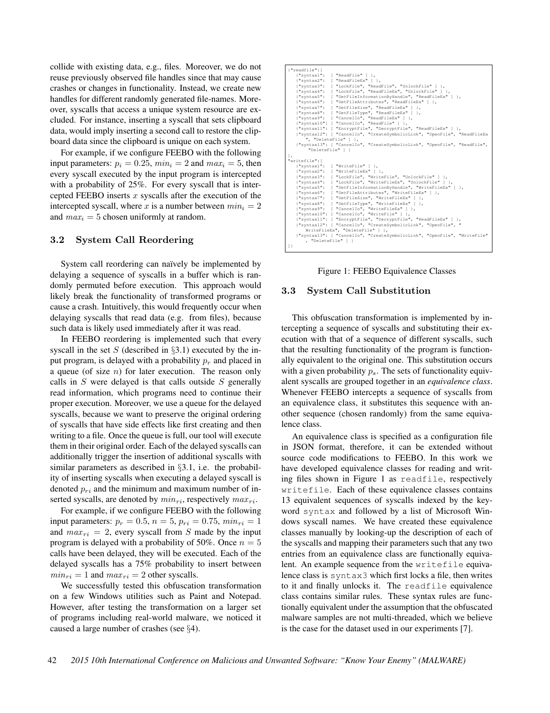collide with existing data, e.g., files. Moreover, we do not reuse previously observed file handles since that may cause crashes or changes in functionality. Instead, we create new handles for different randomly generated file-names. Moreover, syscalls that access a unique system resource are excluded. For instance, inserting a syscall that sets clipboard data, would imply inserting a second call to restore the clipboard data since the clipboard is unique on each system.

For example, if we configure FEEBO with the following input parameters:  $p_i = 0.25$ ,  $min_i = 2$  and  $max_i = 5$ , then every syscall executed by the input program is intercepted with a probability of 25%. For every syscall that is intercepted FEEBO inserts  $x$  syscalls after the execution of the intercepted syscall, where x is a number between  $min_i = 2$ and  $max_i = 5$  chosen uniformly at random.

## 3.2 System Call Reordering

System call reordering can naïvely be implemented by delaying a sequence of syscalls in a buffer which is randomly permuted before execution. This approach would likely break the functionality of transformed programs or cause a crash. Intuitively, this would frequently occur when delaying syscalls that read data (e.g. from files), because such data is likely used immediately after it was read.

In FEEBO reordering is implemented such that every syscall in the set S (described in  $\S 3.1$ ) executed by the input program, is delayed with a probability  $p_r$  and placed in a queue (of size  $n$ ) for later execution. The reason only calls in  $S$  were delayed is that calls outside  $S$  generally read information, which programs need to continue their proper execution. Moreover, we use a queue for the delayed syscalls, because we want to preserve the original ordering of syscalls that have side effects like first creating and then writing to a file. Once the queue is full, our tool will execute them in their original order. Each of the delayed syscalls can additionally trigger the insertion of additional syscalls with similar parameters as described in §3.1, i.e. the probability of inserting syscalls when executing a delayed syscall is denoted  $p_{ri}$  and the minimum and maximum number of inserted syscalls, are denoted by  $min_{ri}$ , respectively  $max_{ri}$ .

For example, if we configure FEEBO with the following input parameters:  $p_r = 0.5$ ,  $n = 5$ ,  $p_{ri} = 0.75$ ,  $min_{ri} = 1$ and  $max_{ri} = 2$ , every syscall from S made by the input program is delayed with a probability of 50%. Once  $n = 5$ calls have been delayed, they will be executed. Each of the delayed syscalls has a 75% probability to insert between  $min_{ri}$  = 1 and  $max_{ri}$  = 2 other syscalls.

We successfully tested this obfuscation transformation on a few Windows utilities such as Paint and Notepad. However, after testing the transformation on a larger set of programs including real-world malware, we noticed it caused a large number of crashes (see §4).

```
:"readfile")<br>:"syntaxl"<br>:"syntax2"
        ("Syntax1": [ "ReadFile" ] },<br>
("Syntax2": [ "ReadFile" ] },<br>
("Syntax3": [ "LockFile", "ReadFile", "UnlockFile" ] },<br>
("Syntax4": [ "LockFile", "ReadFileEx", "UnlockFile" ] },<br>
("Syntax5": [ "GetFileInformationByHandle", 
        {"syntax10": [ "CancelIo", "ReadFile" ] },<br>{"syntax11": [ "EncryptFile", "DecryptFile", "ReadFileEx" ] },<br>{"syntax12": [ "CancelIo", "CreateSymbolicLink", "OpenFile", "ReadFileEx<br>", "DeleteFile" ] },
        {"syntax13": [ "CancelIo", "CreateSymbolicLink", "OpenFile", "ReadFile",
                    "DeleteFile" ] }
],
"writefile":[
        {"syntax1": [ "WriteFile" ] },
{"syntax2": [ "WriteFileEx" ] },
        {"syntax3": [ "LockFile", "WriteFile", "UnlockFile" ] },<br>{"syntax4": [ "LockFile", "WriteFileEx", "UnlockFile" ] },<br>{"syntax5": [ "GetFileInformationByHandle", "WriteFileEx" ] },<br>{"syntax5": [ "GetFileAttributes", "WriteFi
        {"syntax7": [ "GetFileSize", "WriteFileEx" ] },
{"syntax8": [ "GetFileType", "WriteFileEx" ] },
{"syntax9": [ "CancelIo", "WriteFileEx" ] },
{"syntax10": [ "CancelIo", "WriteFile" ] },
        "|"syntax11": [ "EncryptFile", "DecryptFile", "ReadFileEx" ] },<br>|"syntax12": [ "CancelIo", "CreateSymbolicLink", "OpenFile", "<br>| WitteFileEx", "DeleteFile" ] },<br>|"syntax13": [ "CancelIo", "CreateSymbolicLink", "OpenFile", 
                       , "DeleteFile" ] }
]}
```


#### 3.3 System Call Substitution

This obfuscation transformation is implemented by intercepting a sequence of syscalls and substituting their execution with that of a sequence of different syscalls, such that the resulting functionality of the program is functionally equivalent to the original one. This substitution occurs with a given probability  $p_s$ . The sets of functionality equivalent syscalls are grouped together in an *equivalence class*. Whenever FEEBO intercepts a sequence of syscalls from an equivalence class, it substitutes this sequence with another sequence (chosen randomly) from the same equivalence class.

An equivalence class is specified as a configuration file in JSON format, therefore, it can be extended without source code modifications to FEEBO. In this work we have developed equivalence classes for reading and writing files shown in Figure 1 as readfile, respectively writefile. Each of these equivalence classes contains 13 equivalent sequences of syscalls indexed by the keyword syntax and followed by a list of Microsoft Windows syscall names. We have created these equivalence classes manually by looking-up the description of each of the syscalls and mapping their parameters such that any two entries from an equivalence class are functionally equivalent. An example sequence from the writefile equivalence class is syntax3 which first locks a file, then writes to it and finally unlocks it. The readfile equivalence class contains similar rules. These syntax rules are functionally equivalent under the assumption that the obfuscated malware samples are not multi-threaded, which we believe is the case for the dataset used in our experiments [7].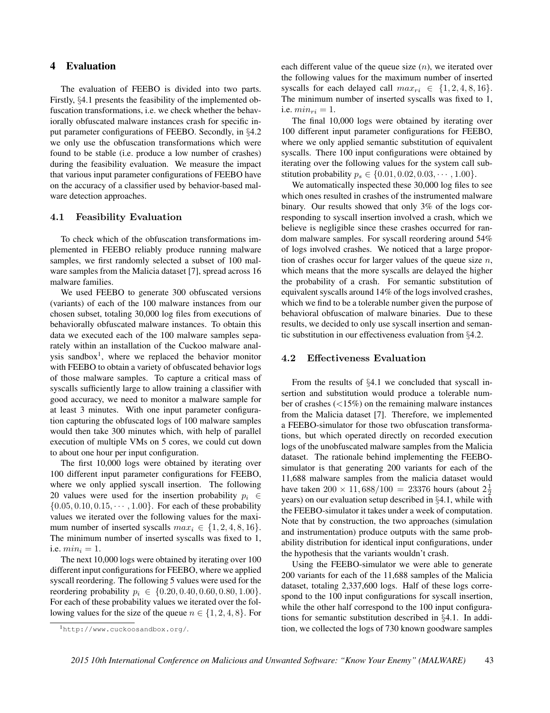## 4 Evaluation

The evaluation of FEEBO is divided into two parts. Firstly, §4.1 presents the feasibility of the implemented obfuscation transformations, i.e. we check whether the behaviorally obfuscated malware instances crash for specific input parameter configurations of FEEBO. Secondly, in §4.2 we only use the obfuscation transformations which were found to be stable (i.e. produce a low number of crashes) during the feasibility evaluation. We measure the impact that various input parameter configurations of FEEBO have on the accuracy of a classifier used by behavior-based malware detection approaches.

#### 4.1 Feasibility Evaluation

To check which of the obfuscation transformations implemented in FEEBO reliably produce running malware samples, we first randomly selected a subset of 100 malware samples from the Malicia dataset [7], spread across 16 malware families.

We used FEEBO to generate 300 obfuscated versions (variants) of each of the 100 malware instances from our chosen subset, totaling 30,000 log files from executions of behaviorally obfuscated malware instances. To obtain this data we executed each of the 100 malware samples separately within an installation of the Cuckoo malware analysis sandbox<sup>1</sup>, where we replaced the behavior monitor with FEEBO to obtain a variety of obfuscated behavior logs of those malware samples. To capture a critical mass of syscalls sufficiently large to allow training a classifier with good accuracy, we need to monitor a malware sample for at least 3 minutes. With one input parameter configuration capturing the obfuscated logs of 100 malware samples would then take 300 minutes which, with help of parallel execution of multiple VMs on 5 cores, we could cut down to about one hour per input configuration.

The first 10,000 logs were obtained by iterating over 100 different input parameter configurations for FEEBO, where we only applied syscall insertion. The following 20 values were used for the insertion probability  $p_i \in$  $\{0.05, 0.10, 0.15, \dots, 1.00\}$ . For each of these probability values we iterated over the following values for the maximum number of inserted syscalls  $max_i \in \{1, 2, 4, 8, 16\}.$ The minimum number of inserted syscalls was fixed to 1, i.e.  $min_i = 1$ .

The next 10,000 logs were obtained by iterating over 100 different input configurations for FEEBO, where we applied syscall reordering. The following 5 values were used for the reordering probability  $p_i \in \{0.20, 0.40, 0.60, 0.80, 1.00\}.$ For each of these probability values we iterated over the following values for the size of the queue  $n \in \{1, 2, 4, 8\}$ . For

each different value of the queue size  $(n)$ , we iterated over the following values for the maximum number of inserted syscalls for each delayed call  $max_{ri} \in \{1, 2, 4, 8, 16\}.$ The minimum number of inserted syscalls was fixed to 1, i.e.  $min_{ri} = 1$ .

The final 10,000 logs were obtained by iterating over 100 different input parameter configurations for FEEBO, where we only applied semantic substitution of equivalent syscalls. There 100 input configurations were obtained by iterating over the following values for the system call substitution probability  $p_s \in \{0.01, 0.02, 0.03, \dots, 1.00\}.$ 

We automatically inspected these 30,000 log files to see which ones resulted in crashes of the instrumented malware binary. Our results showed that only 3% of the logs corresponding to syscall insertion involved a crash, which we believe is negligible since these crashes occurred for random malware samples. For syscall reordering around 54% of logs involved crashes. We noticed that a large proportion of crashes occur for larger values of the queue size  $n$ , which means that the more syscalls are delayed the higher the probability of a crash. For semantic substitution of equivalent syscalls around 14% of the logs involved crashes, which we find to be a tolerable number given the purpose of behavioral obfuscation of malware binaries. Due to these results, we decided to only use syscall insertion and semantic substitution in our effectiveness evaluation from §4.2.

## 4.2 Effectiveness Evaluation

From the results of §4.1 we concluded that syscall insertion and substitution would produce a tolerable number of crashes  $\left($ <15%) on the remaining malware instances from the Malicia dataset [7]. Therefore, we implemented a FEEBO-simulator for those two obfuscation transformations, but which operated directly on recorded execution logs of the unobfuscated malware samples from the Malicia dataset. The rationale behind implementing the FEEBOsimulator is that generating 200 variants for each of the 11,688 malware samples from the malicia dataset would have taken  $200 \times 11,688/100 = 23376$  hours (about  $2\frac{1}{2}$ ) years) on our evaluation setup described in §4.1, while with the FEEBO-simulator it takes under a week of computation. Note that by construction, the two approaches (simulation and instrumentation) produce outputs with the same probability distribution for identical input configurations, under the hypothesis that the variants wouldn't crash.

Using the FEEBO-simulator we were able to generate 200 variants for each of the 11,688 samples of the Malicia dataset, totaling 2,337,600 logs. Half of these logs correspond to the 100 input configurations for syscall insertion, while the other half correspond to the 100 input configurations for semantic substitution described in §4.1. In addition, we collected the logs of 730 known goodware samples

<sup>1</sup>http://www.cuckoosandbox.org/.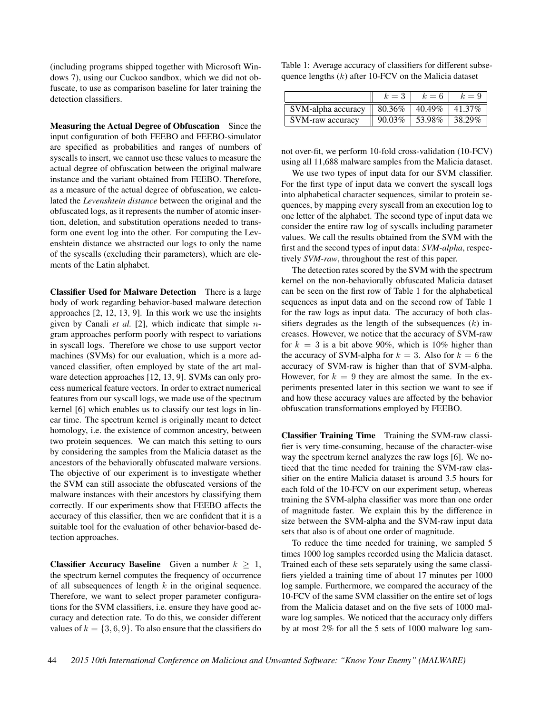(including programs shipped together with Microsoft Windows 7), using our Cuckoo sandbox, which we did not obfuscate, to use as comparison baseline for later training the detection classifiers.

Measuring the Actual Degree of Obfuscation Since the input configuration of both FEEBO and FEEBO-simulator are specified as probabilities and ranges of numbers of syscalls to insert, we cannot use these values to measure the actual degree of obfuscation between the original malware instance and the variant obtained from FEEBO. Therefore, as a measure of the actual degree of obfuscation, we calculated the *Levenshtein distance* between the original and the obfuscated logs, as it represents the number of atomic insertion, deletion, and substitution operations needed to transform one event log into the other. For computing the Levenshtein distance we abstracted our logs to only the name of the syscalls (excluding their parameters), which are elements of the Latin alphabet.

Classifier Used for Malware Detection There is a large body of work regarding behavior-based malware detection approaches [2, 12, 13, 9]. In this work we use the insights given by Canali *et al.* [2], which indicate that simple ngram approaches perform poorly with respect to variations in syscall logs. Therefore we chose to use support vector machines (SVMs) for our evaluation, which is a more advanced classifier, often employed by state of the art malware detection approaches [12, 13, 9]. SVMs can only process numerical feature vectors. In order to extract numerical features from our syscall logs, we made use of the spectrum kernel [6] which enables us to classify our test logs in linear time. The spectrum kernel is originally meant to detect homology, i.e. the existence of common ancestry, between two protein sequences. We can match this setting to ours by considering the samples from the Malicia dataset as the ancestors of the behaviorally obfuscated malware versions. The objective of our experiment is to investigate whether the SVM can still associate the obfuscated versions of the malware instances with their ancestors by classifying them correctly. If our experiments show that FEEBO affects the accuracy of this classifier, then we are confident that it is a suitable tool for the evaluation of other behavior-based detection approaches.

**Classifier Accuracy Baseline** Given a number  $k \geq 1$ , the spectrum kernel computes the frequency of occurrence of all subsequences of length  $k$  in the original sequence. Therefore, we want to select proper parameter configurations for the SVM classifiers, i.e. ensure they have good accuracy and detection rate. To do this, we consider different values of  $k = \{3, 6, 9\}$ . To also ensure that the classifiers do Table 1: Average accuracy of classifiers for different subsequence lengths  $(k)$  after 10-FCV on the Malicia dataset

|                    | $k=3$  | $k=6$  | $k=9$  |
|--------------------|--------|--------|--------|
| SVM-alpha accuracy | 80.36% | 40.49% | 41.37% |
| SVM-raw accuracy   | 90.03% | 53.98% | 38.29% |

not over-fit, we perform 10-fold cross-validation (10-FCV) using all 11,688 malware samples from the Malicia dataset.

We use two types of input data for our SVM classifier. For the first type of input data we convert the syscall logs into alphabetical character sequences, similar to protein sequences, by mapping every syscall from an execution log to one letter of the alphabet. The second type of input data we consider the entire raw log of syscalls including parameter values. We call the results obtained from the SVM with the first and the second types of input data: *SVM-alpha*, respectively *SVM-raw*, throughout the rest of this paper.

The detection rates scored by the SVM with the spectrum kernel on the non-behaviorally obfuscated Malicia dataset can be seen on the first row of Table 1 for the alphabetical sequences as input data and on the second row of Table 1 for the raw logs as input data. The accuracy of both classifiers degrades as the length of the subsequences  $(k)$  increases. However, we notice that the accuracy of SVM-raw for  $k = 3$  is a bit above 90%, which is 10% higher than the accuracy of SVM-alpha for  $k = 3$ . Also for  $k = 6$  the accuracy of SVM-raw is higher than that of SVM-alpha. However, for  $k = 9$  they are almost the same. In the experiments presented later in this section we want to see if and how these accuracy values are affected by the behavior obfuscation transformations employed by FEEBO.

Classifier Training Time Training the SVM-raw classifier is very time-consuming, because of the character-wise way the spectrum kernel analyzes the raw logs [6]. We noticed that the time needed for training the SVM-raw classifier on the entire Malicia dataset is around 3.5 hours for each fold of the 10-FCV on our experiment setup, whereas training the SVM-alpha classifier was more than one order of magnitude faster. We explain this by the difference in size between the SVM-alpha and the SVM-raw input data sets that also is of about one order of magnitude.

To reduce the time needed for training, we sampled 5 times 1000 log samples recorded using the Malicia dataset. Trained each of these sets separately using the same classifiers yielded a training time of about 17 minutes per 1000 log sample. Furthermore, we compared the accuracy of the 10-FCV of the same SVM classifier on the entire set of logs from the Malicia dataset and on the five sets of 1000 malware log samples. We noticed that the accuracy only differs by at most 2% for all the 5 sets of 1000 malware log sam-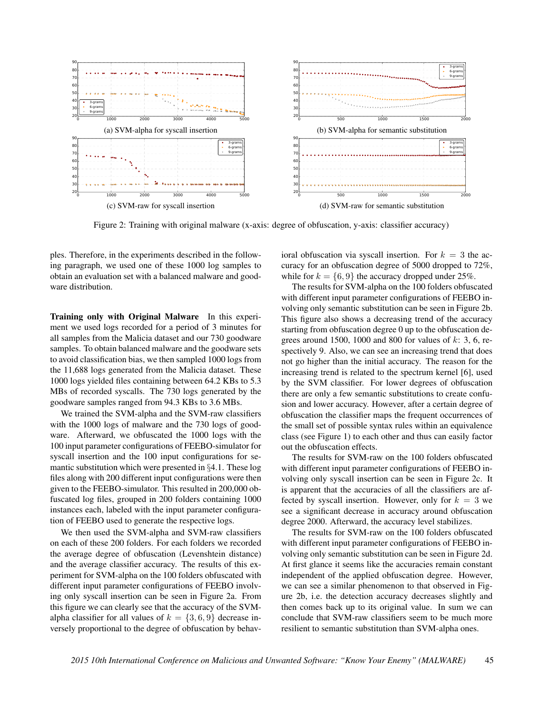

Figure 2: Training with original malware (x-axis: degree of obfuscation, y-axis: classifier accuracy)

ples. Therefore, in the experiments described in the following paragraph, we used one of these 1000 log samples to obtain an evaluation set with a balanced malware and goodware distribution.

Training only with Original Malware In this experiment we used logs recorded for a period of 3 minutes for all samples from the Malicia dataset and our 730 goodware samples. To obtain balanced malware and the goodware sets to avoid classification bias, we then sampled 1000 logs from the 11,688 logs generated from the Malicia dataset. These 1000 logs yielded files containing between 64.2 KBs to 5.3 MBs of recorded syscalls. The 730 logs generated by the goodware samples ranged from 94.3 KBs to 3.6 MBs.

We trained the SVM-alpha and the SVM-raw classifiers with the 1000 logs of malware and the 730 logs of goodware. Afterward, we obfuscated the 1000 logs with the 100 input parameter configurations of FEEBO-simulator for syscall insertion and the 100 input configurations for semantic substitution which were presented in §4.1. These log files along with 200 different input configurations were then given to the FEEBO-simulator. This resulted in 200,000 obfuscated log files, grouped in 200 folders containing 1000 instances each, labeled with the input parameter configuration of FEEBO used to generate the respective logs.

We then used the SVM-alpha and SVM-raw classifiers on each of these 200 folders. For each folders we recorded the average degree of obfuscation (Levenshtein distance) and the average classifier accuracy. The results of this experiment for SVM-alpha on the 100 folders obfuscated with different input parameter configurations of FEEBO involving only syscall insertion can be seen in Figure 2a. From this figure we can clearly see that the accuracy of the SVMalpha classifier for all values of  $k = \{3, 6, 9\}$  decrease inversely proportional to the degree of obfuscation by behavioral obfuscation via syscall insertion. For  $k = 3$  the accuracy for an obfuscation degree of 5000 dropped to 72%, while for  $k = \{6, 9\}$  the accuracy dropped under 25%.

The results for SVM-alpha on the 100 folders obfuscated with different input parameter configurations of FEEBO involving only semantic substitution can be seen in Figure 2b. This figure also shows a decreasing trend of the accuracy starting from obfuscation degree 0 up to the obfuscation degrees around 1500, 1000 and 800 for values of  $k: 3, 6$ , respectively 9. Also, we can see an increasing trend that does not go higher than the initial accuracy. The reason for the increasing trend is related to the spectrum kernel [6], used by the SVM classifier. For lower degrees of obfuscation there are only a few semantic substitutions to create confusion and lower accuracy. However, after a certain degree of obfuscation the classifier maps the frequent occurrences of the small set of possible syntax rules within an equivalence class (see Figure 1) to each other and thus can easily factor out the obfuscation effects.

The results for SVM-raw on the 100 folders obfuscated with different input parameter configurations of FEEBO involving only syscall insertion can be seen in Figure 2c. It is apparent that the accuracies of all the classifiers are affected by syscall insertion. However, only for  $k = 3$  we see a significant decrease in accuracy around obfuscation degree 2000. Afterward, the accuracy level stabilizes.

The results for SVM-raw on the 100 folders obfuscated with different input parameter configurations of FEEBO involving only semantic substitution can be seen in Figure 2d. At first glance it seems like the accuracies remain constant independent of the applied obfuscation degree. However, we can see a similar phenomenon to that observed in Figure 2b, i.e. the detection accuracy decreases slightly and then comes back up to its original value. In sum we can conclude that SVM-raw classifiers seem to be much more resilient to semantic substitution than SVM-alpha ones.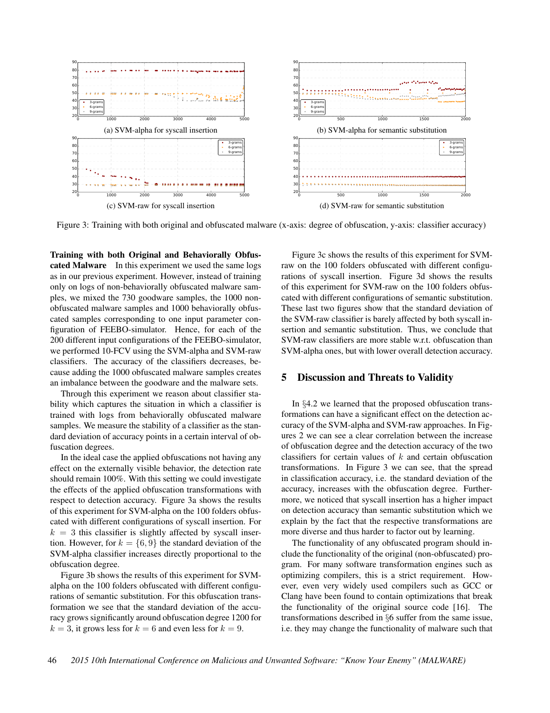

Figure 3: Training with both original and obfuscated malware (x-axis: degree of obfuscation, y-axis: classifier accuracy)

Training with both Original and Behaviorally Obfuscated Malware In this experiment we used the same logs as in our previous experiment. However, instead of training only on logs of non-behaviorally obfuscated malware samples, we mixed the 730 goodware samples, the 1000 nonobfuscated malware samples and 1000 behaviorally obfuscated samples corresponding to one input parameter configuration of FEEBO-simulator. Hence, for each of the 200 different input configurations of the FEEBO-simulator, we performed 10-FCV using the SVM-alpha and SVM-raw classifiers. The accuracy of the classifiers decreases, because adding the 1000 obfuscated malware samples creates an imbalance between the goodware and the malware sets.

Through this experiment we reason about classifier stability which captures the situation in which a classifier is trained with logs from behaviorally obfuscated malware samples. We measure the stability of a classifier as the standard deviation of accuracy points in a certain interval of obfuscation degrees.

In the ideal case the applied obfuscations not having any effect on the externally visible behavior, the detection rate should remain 100%. With this setting we could investigate the effects of the applied obfuscation transformations with respect to detection accuracy. Figure 3a shows the results of this experiment for SVM-alpha on the 100 folders obfuscated with different configurations of syscall insertion. For  $k = 3$  this classifier is slightly affected by syscall insertion. However, for  $k = \{6, 9\}$  the standard deviation of the SVM-alpha classifier increases directly proportional to the obfuscation degree.

Figure 3b shows the results of this experiment for SVMalpha on the 100 folders obfuscated with different configurations of semantic substitution. For this obfuscation transformation we see that the standard deviation of the accuracy grows significantly around obfuscation degree 1200 for  $k = 3$ , it grows less for  $k = 6$  and even less for  $k = 9$ .

Figure 3c shows the results of this experiment for SVMraw on the 100 folders obfuscated with different configurations of syscall insertion. Figure 3d shows the results of this experiment for SVM-raw on the 100 folders obfuscated with different configurations of semantic substitution. These last two figures show that the standard deviation of the SVM-raw classifier is barely affected by both syscall insertion and semantic substitution. Thus, we conclude that SVM-raw classifiers are more stable w.r.t. obfuscation than SVM-alpha ones, but with lower overall detection accuracy.

## 5 Discussion and Threats to Validity

In §4.2 we learned that the proposed obfuscation transformations can have a significant effect on the detection accuracy of the SVM-alpha and SVM-raw approaches. In Figures 2 we can see a clear correlation between the increase of obfuscation degree and the detection accuracy of the two classifiers for certain values of  $k$  and certain obfuscation transformations. In Figure 3 we can see, that the spread in classification accuracy, i.e. the standard deviation of the accuracy, increases with the obfuscation degree. Furthermore, we noticed that syscall insertion has a higher impact on detection accuracy than semantic substitution which we explain by the fact that the respective transformations are more diverse and thus harder to factor out by learning.

The functionality of any obfuscated program should include the functionality of the original (non-obfuscated) program. For many software transformation engines such as optimizing compilers, this is a strict requirement. However, even very widely used compilers such as GCC or Clang have been found to contain optimizations that break the functionality of the original source code [16]. The transformations described in §6 suffer from the same issue, i.e. they may change the functionality of malware such that